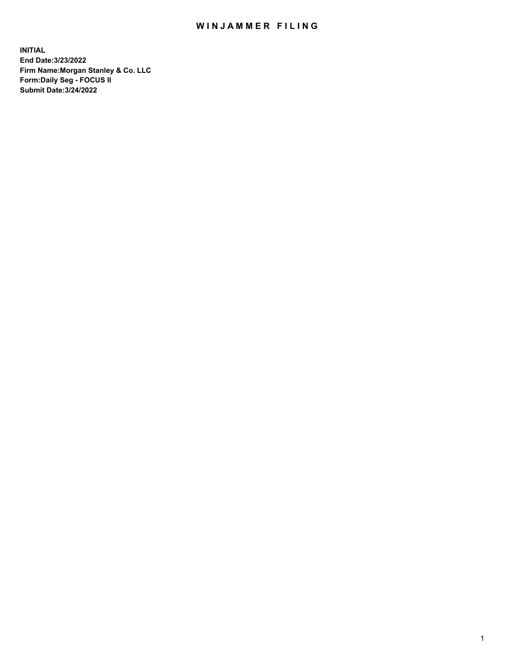## WIN JAMMER FILING

**INITIAL End Date:3/23/2022 Firm Name:Morgan Stanley & Co. LLC Form:Daily Seg - FOCUS II Submit Date:3/24/2022**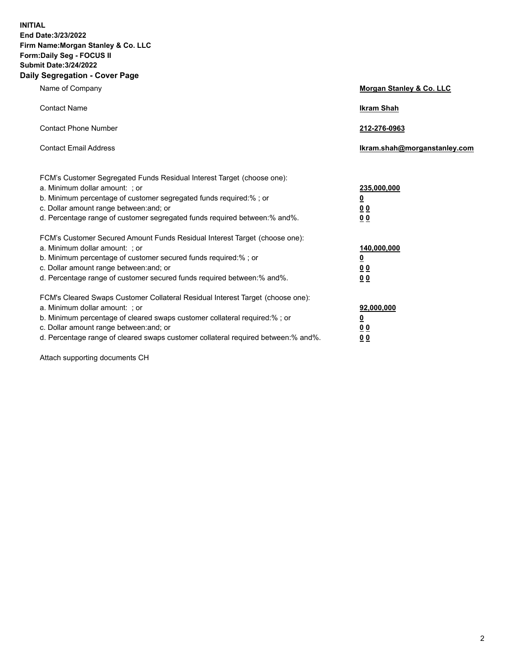**INITIAL End Date:3/23/2022 Firm Name:Morgan Stanley & Co. LLC Form:Daily Seg - FOCUS II Submit Date:3/24/2022 Daily Segregation - Cover Page**

| Name of Company                                                                                                                                                                                                                                                                                                                | <b>Morgan Stanley &amp; Co. LLC</b>                    |
|--------------------------------------------------------------------------------------------------------------------------------------------------------------------------------------------------------------------------------------------------------------------------------------------------------------------------------|--------------------------------------------------------|
| <b>Contact Name</b>                                                                                                                                                                                                                                                                                                            | <b>Ikram Shah</b>                                      |
| <b>Contact Phone Number</b>                                                                                                                                                                                                                                                                                                    | 212-276-0963                                           |
| <b>Contact Email Address</b>                                                                                                                                                                                                                                                                                                   | Ikram.shah@morganstanley.com                           |
| FCM's Customer Segregated Funds Residual Interest Target (choose one):<br>a. Minimum dollar amount: : or<br>b. Minimum percentage of customer segregated funds required:%; or<br>c. Dollar amount range between: and; or<br>d. Percentage range of customer segregated funds required between:% and%.                          | 235,000,000<br><u>0</u><br><u>00</u><br><u>00</u>      |
| FCM's Customer Secured Amount Funds Residual Interest Target (choose one):<br>a. Minimum dollar amount: ; or<br>b. Minimum percentage of customer secured funds required:%; or<br>c. Dollar amount range between: and; or<br>d. Percentage range of customer secured funds required between:% and%.                            | 140,000,000<br><u>0</u><br><u>00</u><br>0 <sub>0</sub> |
| FCM's Cleared Swaps Customer Collateral Residual Interest Target (choose one):<br>a. Minimum dollar amount: ; or<br>b. Minimum percentage of cleared swaps customer collateral required:% ; or<br>c. Dollar amount range between: and; or<br>d. Percentage range of cleared swaps customer collateral required between:% and%. | 92,000,000<br><u>0</u><br><u>00</u><br>00              |

Attach supporting documents CH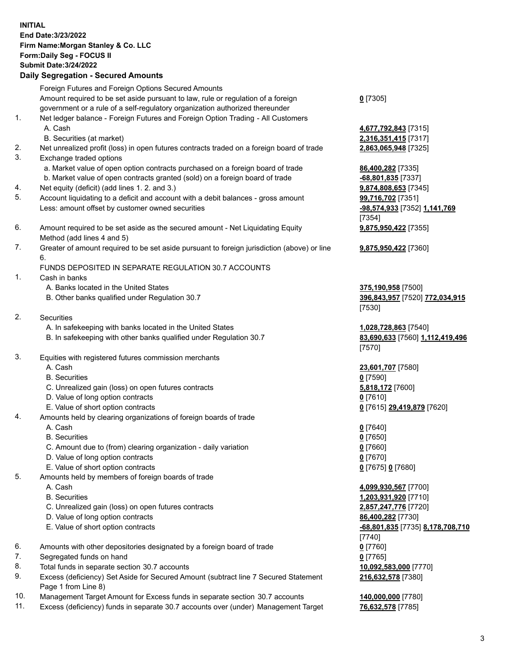## **INITIAL End Date:3/23/2022 Firm Name:Morgan Stanley & Co. LLC Form:Daily Seg - FOCUS II Submit Date:3/24/2022 Daily Segregation - Secured Amounts** Foreign Futures and Foreign Options Secured Amounts Amount required to be set aside pursuant to law, rule or regulation of a foreign government or a rule of a self-regulatory organization authorized thereunder 1. Net ledger balance - Foreign Futures and Foreign Option Trading - All Customers A. Cash **4,677,792,843** [7315] B. Securities (at market) **2,316,351,415** [7317] 2. Net unrealized profit (loss) in open futures contracts traded on a foreign board of trade **2,863,065,948** [7325] 3. Exchange traded options a. Market value of open option contracts purchased on a foreign board of trade **86,400,282** [7335] b. Market value of open contracts granted (sold) on a foreign board of trade **-68,801,835** [7337] 4. Net equity (deficit) (add lines 1. 2. and 3.) **9,874,808,653** [7345] 5. Account liquidating to a deficit and account with a debit balances - gross amount **99,716,702** [7351] Less: amount offset by customer owned securities **-98,574,933** [7352] **1,141,769** 6. Amount required to be set aside as the secured amount - Net Liquidating Equity Method (add lines 4 and 5) 7. Greater of amount required to be set aside pursuant to foreign jurisdiction (above) or line 6. FUNDS DEPOSITED IN SEPARATE REGULATION 30.7 ACCOUNTS 1. Cash in banks A. Banks located in the United States **375,190,958** [7500] B. Other banks qualified under Regulation 30.7 **396,843,957** [7520] **772,034,915** 2. Securities A. In safekeeping with banks located in the United States **1,028,728,863** [7540] B. In safekeeping with other banks qualified under Regulation 30.7 **83,690,633** [7560] **1,112,419,496**

- 3. Equities with registered futures commission merchants
	-
	- B. Securities **0** [7590]
	- C. Unrealized gain (loss) on open futures contracts **5,818,172** [7600]
	- D. Value of long option contracts **0** [7610]
	- E. Value of short option contracts **0** [7615] **29,419,879** [7620]
- 4. Amounts held by clearing organizations of foreign boards of trade
	-
	- B. Securities **0** [7650]
	- C. Amount due to (from) clearing organization daily variation **0** [7660]
	- D. Value of long option contracts **0** [7670]
	- E. Value of short option contracts **0** [7675] **0** [7680]
- 5. Amounts held by members of foreign boards of trade
	-
	-
	- C. Unrealized gain (loss) on open futures contracts **2,857,247,776** [7720]
	- D. Value of long option contracts **86,400,282** [7730]
	-
- 6. Amounts with other depositories designated by a foreign board of trade **0** [7760]
- 7. Segregated funds on hand **0** [7765]
- 8. Total funds in separate section 30.7 accounts **10,092,583,000** [7770]
- 9. Excess (deficiency) Set Aside for Secured Amount (subtract line 7 Secured Statement Page 1 from Line 8)
- 10. Management Target Amount for Excess funds in separate section 30.7 accounts **140,000,000** [7780]
- 11. Excess (deficiency) funds in separate 30.7 accounts over (under) Management Target **76,632,578** [7785]

**0** [7305]

[7354] **9,875,950,422** [7355]

**9,875,950,422** [7360]

[7530]

[7570]

A. Cash **23,601,707** [7580]

A. Cash **0** [7640]

 A. Cash **4,099,930,567** [7700] B. Securities **1,203,931,920** [7710] E. Value of short option contracts **-68,801,835** [7735] **8,178,708,710** [7740] **216,632,578** [7380]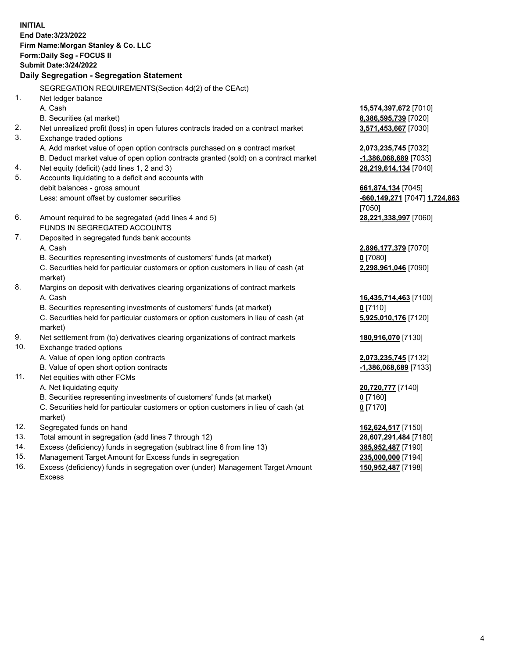**INITIAL End Date:3/23/2022 Firm Name:Morgan Stanley & Co. LLC Form:Daily Seg - FOCUS II Submit Date:3/24/2022 Daily Segregation - Segregation Statement** SEGREGATION REQUIREMENTS(Section 4d(2) of the CEAct) 1. Net ledger balance A. Cash **15,574,397,672** [7010] B. Securities (at market) **8,386,595,739** [7020] 2. Net unrealized profit (loss) in open futures contracts traded on a contract market **3,571,453,667** [7030] 3. Exchange traded options A. Add market value of open option contracts purchased on a contract market **2,073,235,745** [7032] B. Deduct market value of open option contracts granted (sold) on a contract market **-1,386,068,689** [7033] 4. Net equity (deficit) (add lines 1, 2 and 3) **28,219,614,134** [7040] 5. Accounts liquidating to a deficit and accounts with debit balances - gross amount **661,874,134** [7045] Less: amount offset by customer securities **-660,149,271** [7047] **1,724,863** [7050] 6. Amount required to be segregated (add lines 4 and 5) **28,221,338,997** [7060] FUNDS IN SEGREGATED ACCOUNTS 7. Deposited in segregated funds bank accounts A. Cash **2,896,177,379** [7070] B. Securities representing investments of customers' funds (at market) **0** [7080] C. Securities held for particular customers or option customers in lieu of cash (at market) **2,298,961,046** [7090] 8. Margins on deposit with derivatives clearing organizations of contract markets A. Cash **16,435,714,463** [7100] B. Securities representing investments of customers' funds (at market) **0** [7110] C. Securities held for particular customers or option customers in lieu of cash (at market) **5,925,010,176** [7120] 9. Net settlement from (to) derivatives clearing organizations of contract markets **180,916,070** [7130] 10. Exchange traded options A. Value of open long option contracts **2,073,235,745** [7132] B. Value of open short option contracts **-1,386,068,689** [7133] 11. Net equities with other FCMs A. Net liquidating equity **20,720,777** [7140] B. Securities representing investments of customers' funds (at market) **0** [7160] C. Securities held for particular customers or option customers in lieu of cash (at market) **0** [7170] 12. Segregated funds on hand **162,624,517** [7150] 13. Total amount in segregation (add lines 7 through 12) **28,607,291,484** [7180] 14. Excess (deficiency) funds in segregation (subtract line 6 from line 13) **385,952,487** [7190] 15. Management Target Amount for Excess funds in segregation **235,000,000** [7194]

16. Excess (deficiency) funds in segregation over (under) Management Target Amount Excess

**150,952,487** [7198]